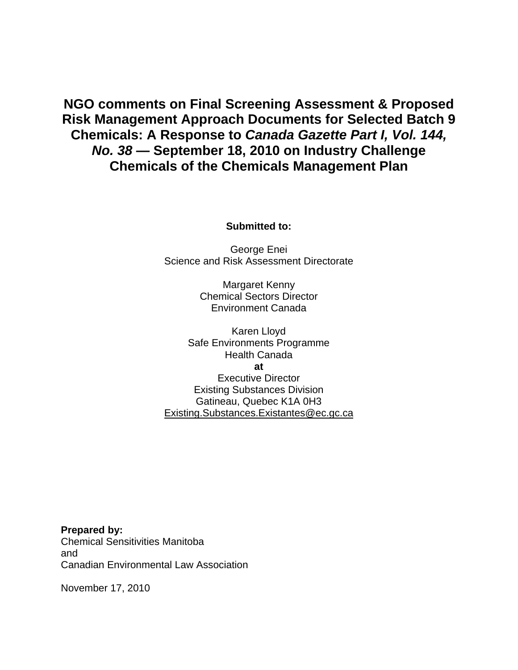**NGO comments on Final Screening Assessment & Proposed Risk Management Approach Documents for Selected Batch 9 Chemicals: A Response to** *Canada Gazette Part I, Vol. 144, No. 38* **— September 18, 2010 on Industry Challenge Chemicals of the Chemicals Management Plan** 

**Submitted to:** 

George Enei Science and Risk Assessment Directorate

> Margaret Kenny Chemical Sectors Director Environment Canada

Karen Lloyd Safe Environments Programme Health Canada **at**  Executive Director Existing Substances Division Gatineau, Quebec K1A 0H3 Existing.Substances.Existantes@ec.gc.ca

**Prepared by:**  Chemical Sensitivities Manitoba and Canadian Environmental Law Association

November 17, 2010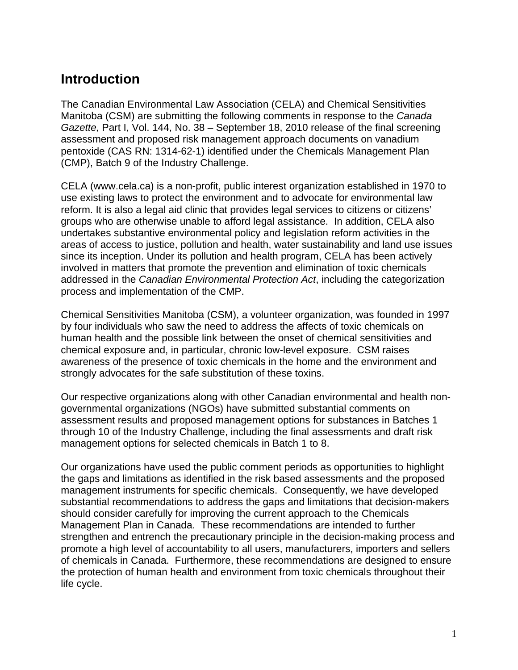## **Introduction**

The Canadian Environmental Law Association (CELA) and Chemical Sensitivities Manitoba (CSM) are submitting the following comments in response to the *Canada Gazette, Part I, Vol. 144, No. 38 – September 18, 2010 release of the final screening* assessment and proposed risk management approach documents on vanadium pentoxide (CAS RN: 1314-62-1) identified under the Chemicals Management Plan (CMP), Batch 9 of the Industry Challenge.

CELA (www.cela.ca) is a non-profit, public interest organization established in 1970 to use existing laws to protect the environment and to advocate for environmental law reform. It is also a legal aid clinic that provides legal services to citizens or citizens' groups who are otherwise unable to afford legal assistance. In addition, CELA also undertakes substantive environmental policy and legislation reform activities in the areas of access to justice, pollution and health, water sustainability and land use issues since its inception. Under its pollution and health program, CELA has been actively involved in matters that promote the prevention and elimination of toxic chemicals addressed in the *Canadian Environmental Protection Act*, including the categorization process and implementation of the CMP.

Chemical Sensitivities Manitoba (CSM), a volunteer organization, was founded in 1997 by four individuals who saw the need to address the affects of toxic chemicals on human health and the possible link between the onset of chemical sensitivities and chemical exposure and, in particular, chronic low-level exposure. CSM raises awareness of the presence of toxic chemicals in the home and the environment and strongly advocates for the safe substitution of these toxins.

Our respective organizations along with other Canadian environmental and health nongovernmental organizations (NGOs) have submitted substantial comments on assessment results and proposed management options for substances in Batches 1 through 10 of the Industry Challenge, including the final assessments and draft risk management options for selected chemicals in Batch 1 to 8.

Our organizations have used the public comment periods as opportunities to highlight the gaps and limitations as identified in the risk based assessments and the proposed management instruments for specific chemicals. Consequently, we have developed substantial recommendations to address the gaps and limitations that decision-makers should consider carefully for improving the current approach to the Chemicals Management Plan in Canada. These recommendations are intended to further strengthen and entrench the precautionary principle in the decision-making process and promote a high level of accountability to all users, manufacturers, importers and sellers of chemicals in Canada. Furthermore, these recommendations are designed to ensure the protection of human health and environment from toxic chemicals throughout their life cycle.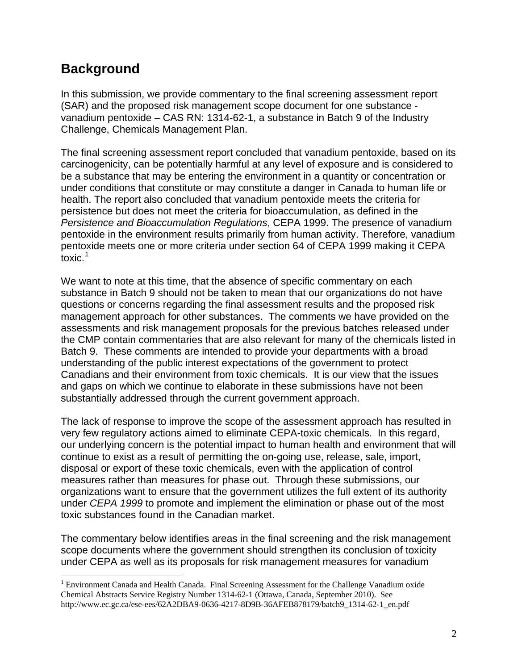# **Background**

 $\overline{a}$ 

In this submission, we provide commentary to the final screening assessment report (SAR) and the proposed risk management scope document for one substance vanadium pentoxide – CAS RN: 1314-62-1, a substance in Batch 9 of the Industry Challenge, Chemicals Management Plan.

The final screening assessment report concluded that vanadium pentoxide, based on its carcinogenicity, can be potentially harmful at any level of exposure and is considered to be a substance that may be entering the environment in a quantity or concentration or under conditions that constitute or may constitute a danger in Canada to human life or health. The report also concluded that vanadium pentoxide meets the criteria for persistence but does not meet the criteria for bioaccumulation, as defined in the *Persistence and Bioaccumulation Regulations*, CEPA 1999. The presence of vanadium pentoxide in the environment results primarily from human activity. Therefore, vanadium pentoxide meets one or more criteria under section 64 of CEPA 1999 making it CEPA toxic.<sup>[1](#page-2-0)</sup>

We want to note at this time, that the absence of specific commentary on each substance in Batch 9 should not be taken to mean that our organizations do not have questions or concerns regarding the final assessment results and the proposed risk management approach for other substances. The comments we have provided on the assessments and risk management proposals for the previous batches released under the CMP contain commentaries that are also relevant for many of the chemicals listed in Batch 9. These comments are intended to provide your departments with a broad understanding of the public interest expectations of the government to protect Canadians and their environment from toxic chemicals. It is our view that the issues and gaps on which we continue to elaborate in these submissions have not been substantially addressed through the current government approach.

The lack of response to improve the scope of the assessment approach has resulted in very few regulatory actions aimed to eliminate CEPA-toxic chemicals. In this regard, our underlying concern is the potential impact to human health and environment that will continue to exist as a result of permitting the on-going use, release, sale, import, disposal or export of these toxic chemicals, even with the application of control measures rather than measures for phase out. Through these submissions, our organizations want to ensure that the government utilizes the full extent of its authority under *CEPA 1999* to promote and implement the elimination or phase out of the most toxic substances found in the Canadian market.

The commentary below identifies areas in the final screening and the risk management scope documents where the government should strengthen its conclusion of toxicity under CEPA as well as its proposals for risk management measures for vanadium

<span id="page-2-0"></span><sup>&</sup>lt;sup>1</sup> Environment Canada and Health Canada. Final Screening Assessment for the Challenge Vanadium oxide Chemical Abstracts Service Registry Number 1314-62-1 (Ottawa, Canada, September 2010). See http://www.ec.gc.ca/ese-ees/62A2DBA9-0636-4217-8D9B-36AFEB878179/batch9\_1314-62-1\_en.pdf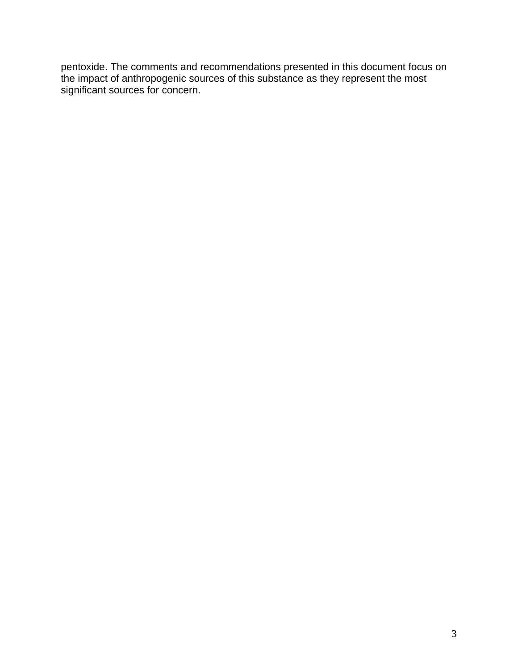pentoxide. The comments and recommendations presented in this document focus on the impact of anthropogenic sources of this substance as they represent the most significant sources for concern.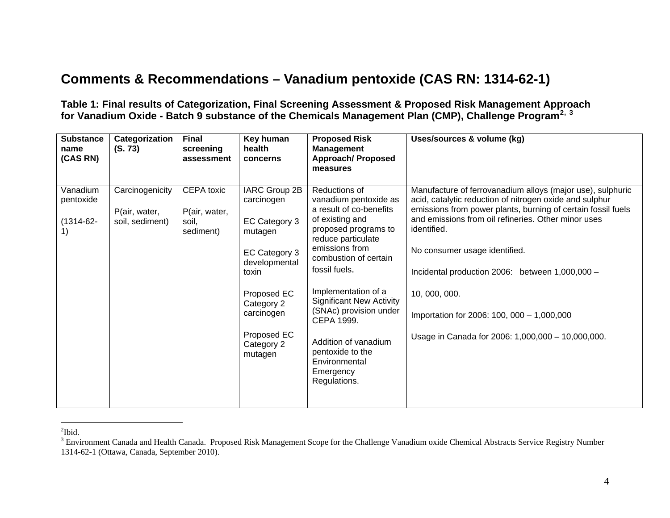# **Comments & Recommendations – Vanadium pentoxide (CAS RN: 1314-62-1)**

**Table 1: Final results of Categorization, Final Screening Assessment & Proposed Risk Management Approach for Vanadium Oxide - Batch 9 substance of the Chemicals Management Plan (CMP), Challenge Program[2](#page-4-0), [3](#page-4-1)**

| <b>Substance</b><br>name<br>(CAS RN)       | Categorization<br>(S. 73)                           | <b>Final</b><br>screening<br>assessment           | Key human<br>health<br>concerns                                                                                                                                                       | <b>Proposed Risk</b><br><b>Management</b><br><b>Approach/Proposed</b><br>measures                                                                                                                                                                                                                                                                                                          | Uses/sources & volume (kg)                                                                                                                                                                                                                                                                                                                                                                                                                                          |
|--------------------------------------------|-----------------------------------------------------|---------------------------------------------------|---------------------------------------------------------------------------------------------------------------------------------------------------------------------------------------|--------------------------------------------------------------------------------------------------------------------------------------------------------------------------------------------------------------------------------------------------------------------------------------------------------------------------------------------------------------------------------------------|---------------------------------------------------------------------------------------------------------------------------------------------------------------------------------------------------------------------------------------------------------------------------------------------------------------------------------------------------------------------------------------------------------------------------------------------------------------------|
| Vanadium<br>pentoxide<br>$(1314-62-$<br>1) | Carcinogenicity<br>P(air, water,<br>soil, sediment) | CEPA toxic<br>P(air, water,<br>soil.<br>sediment) | IARC Group 2B<br>carcinogen<br>EC Category 3<br>mutagen<br>EC Category 3<br>developmental<br>toxin<br>Proposed EC<br>Category 2<br>carcinogen<br>Proposed EC<br>Category 2<br>mutagen | Reductions of<br>vanadium pentoxide as<br>a result of co-benefits<br>of existing and<br>proposed programs to<br>reduce particulate<br>emissions from<br>combustion of certain<br>fossil fuels.<br>Implementation of a<br><b>Significant New Activity</b><br>(SNAc) provision under<br>CEPA 1999.<br>Addition of vanadium<br>pentoxide to the<br>Environmental<br>Emergency<br>Regulations. | Manufacture of ferrovanadium alloys (major use), sulphuric<br>acid, catalytic reduction of nitrogen oxide and sulphur<br>emissions from power plants, burning of certain fossil fuels<br>and emissions from oil refineries. Other minor uses<br>identified.<br>No consumer usage identified.<br>Incidental production 2006: between 1,000,000 -<br>10, 000, 000.<br>Importation for 2006: 100, 000 - 1,000,000<br>Usage in Canada for 2006: 1,000,000 - 10,000,000. |

<span id="page-4-0"></span> ${}^{2}$ Ibid.

<span id="page-4-1"></span><sup>&</sup>lt;sup>3</sup> Environment Canada and Health Canada. Proposed Risk Management Scope for the Challenge Vanadium oxide Chemical Abstracts Service Registry Number 1314-62-1 (Ottawa, Canada, September 2010).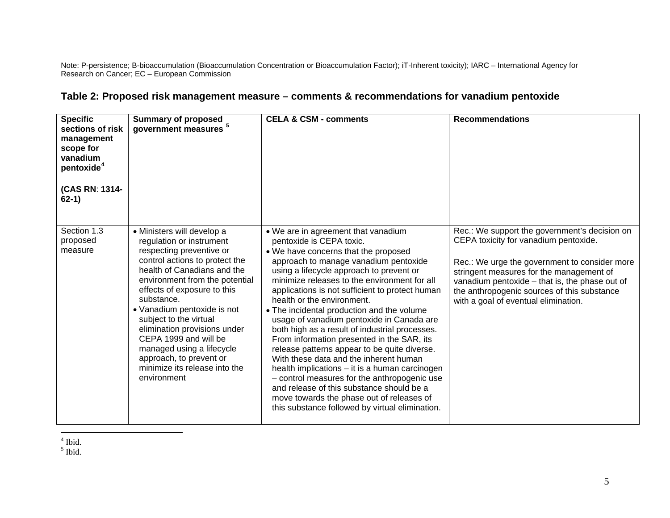Note: P-persistence; B-bioaccumulation (Bioaccumulation Concentration or Bioaccumulation Factor); iT-Inherent toxicity); IARC – International Agency for Research on Cancer; EC – European Commission

| <b>Specific</b><br>sections of risk<br>management<br>scope for<br>vanadium<br>pentoxide <sup>4</sup><br>(CAS RN: 1314-<br>$62-1)$ | <b>Summary of proposed</b><br>government measures <sup>5</sup>                                                                                                                                                                                                                                                                                                                                                                                               | <b>CELA &amp; CSM - comments</b>                                                                                                                                                                                                                                                                                                                                                                                                                                                                                                                                                                                                                                                                                                                                                                                                                                  | <b>Recommendations</b>                                                                                                                                                                                                                                                                                                       |
|-----------------------------------------------------------------------------------------------------------------------------------|--------------------------------------------------------------------------------------------------------------------------------------------------------------------------------------------------------------------------------------------------------------------------------------------------------------------------------------------------------------------------------------------------------------------------------------------------------------|-------------------------------------------------------------------------------------------------------------------------------------------------------------------------------------------------------------------------------------------------------------------------------------------------------------------------------------------------------------------------------------------------------------------------------------------------------------------------------------------------------------------------------------------------------------------------------------------------------------------------------------------------------------------------------------------------------------------------------------------------------------------------------------------------------------------------------------------------------------------|------------------------------------------------------------------------------------------------------------------------------------------------------------------------------------------------------------------------------------------------------------------------------------------------------------------------------|
| Section 1.3<br>proposed<br>measure                                                                                                | • Ministers will develop a<br>regulation or instrument<br>respecting preventive or<br>control actions to protect the<br>health of Canadians and the<br>environment from the potential<br>effects of exposure to this<br>substance.<br>• Vanadium pentoxide is not<br>subject to the virtual<br>elimination provisions under<br>CEPA 1999 and will be<br>managed using a lifecycle<br>approach, to prevent or<br>minimize its release into the<br>environment | . We are in agreement that vanadium<br>pentoxide is CEPA toxic.<br>. We have concerns that the proposed<br>approach to manage vanadium pentoxide<br>using a lifecycle approach to prevent or<br>minimize releases to the environment for all<br>applications is not sufficient to protect human<br>health or the environment.<br>• The incidental production and the volume<br>usage of vanadium pentoxide in Canada are<br>both high as a result of industrial processes.<br>From information presented in the SAR, its<br>release patterns appear to be quite diverse.<br>With these data and the inherent human<br>health implications - it is a human carcinogen<br>- control measures for the anthropogenic use<br>and release of this substance should be a<br>move towards the phase out of releases of<br>this substance followed by virtual elimination. | Rec.: We support the government's decision on<br>CEPA toxicity for vanadium pentoxide.<br>Rec.: We urge the government to consider more<br>stringent measures for the management of<br>vanadium pentoxide - that is, the phase out of<br>the anthropogenic sources of this substance<br>with a goal of eventual elimination. |

### **Table 2: Proposed risk management measure – comments & recommendations for vanadium pentoxide**

<span id="page-5-1"></span><span id="page-5-0"></span> $<sup>4</sup>$  Ibid.</sup>  $<sup>5</sup>$  Ibid.</sup>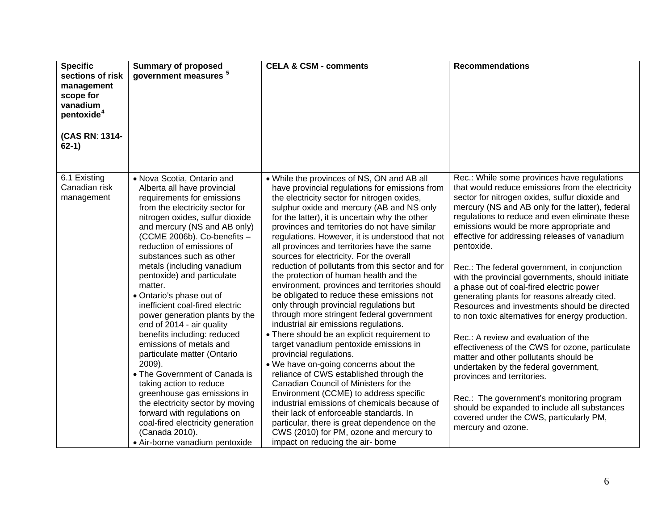| <b>Specific</b><br>sections of risk<br>management<br>scope for<br>vanadium<br>pentoxide <sup>4</sup><br>(CAS RN: 1314-<br>$62-1)$ | <b>Summary of proposed</b><br>government measures <sup>5</sup>                                                                                                                                                                                                                                                                                                                                                                                                                                                                                                                                                                                                                                                                                                                                                                                       | <b>CELA &amp; CSM - comments</b>                                                                                                                                                                                                                                                                                                                                                                                                                                                                                                                                                                                                                                                                                                                                                                                                                                                                                                                                                                                                                                                                                                                                                                                                                                                               | <b>Recommendations</b>                                                                                                                                                                                                                                                                                                                                                                                                                                                                                                                                                                                                                                                                                                                                                                                                                                                                                                                                                                                                                         |
|-----------------------------------------------------------------------------------------------------------------------------------|------------------------------------------------------------------------------------------------------------------------------------------------------------------------------------------------------------------------------------------------------------------------------------------------------------------------------------------------------------------------------------------------------------------------------------------------------------------------------------------------------------------------------------------------------------------------------------------------------------------------------------------------------------------------------------------------------------------------------------------------------------------------------------------------------------------------------------------------------|------------------------------------------------------------------------------------------------------------------------------------------------------------------------------------------------------------------------------------------------------------------------------------------------------------------------------------------------------------------------------------------------------------------------------------------------------------------------------------------------------------------------------------------------------------------------------------------------------------------------------------------------------------------------------------------------------------------------------------------------------------------------------------------------------------------------------------------------------------------------------------------------------------------------------------------------------------------------------------------------------------------------------------------------------------------------------------------------------------------------------------------------------------------------------------------------------------------------------------------------------------------------------------------------|------------------------------------------------------------------------------------------------------------------------------------------------------------------------------------------------------------------------------------------------------------------------------------------------------------------------------------------------------------------------------------------------------------------------------------------------------------------------------------------------------------------------------------------------------------------------------------------------------------------------------------------------------------------------------------------------------------------------------------------------------------------------------------------------------------------------------------------------------------------------------------------------------------------------------------------------------------------------------------------------------------------------------------------------|
| 6.1 Existing<br>Canadian risk<br>management                                                                                       | . Nova Scotia, Ontario and<br>Alberta all have provincial<br>requirements for emissions<br>from the electricity sector for<br>nitrogen oxides, sulfur dioxide<br>and mercury (NS and AB only)<br>(CCME 2006b). Co-benefits -<br>reduction of emissions of<br>substances such as other<br>metals (including vanadium<br>pentoxide) and particulate<br>matter.<br>• Ontario's phase out of<br>inefficient coal-fired electric<br>power generation plants by the<br>end of 2014 - air quality<br>benefits including: reduced<br>emissions of metals and<br>particulate matter (Ontario<br>2009).<br>• The Government of Canada is<br>taking action to reduce<br>greenhouse gas emissions in<br>the electricity sector by moving<br>forward with regulations on<br>coal-fired electricity generation<br>(Canada 2010).<br>· Air-borne vanadium pentoxide | • While the provinces of NS, ON and AB all<br>have provincial regulations for emissions from<br>the electricity sector for nitrogen oxides,<br>sulphur oxide and mercury (AB and NS only<br>for the latter), it is uncertain why the other<br>provinces and territories do not have similar<br>regulations. However, it is understood that not<br>all provinces and territories have the same<br>sources for electricity. For the overall<br>reduction of pollutants from this sector and for<br>the protection of human health and the<br>environment, provinces and territories should<br>be obligated to reduce these emissions not<br>only through provincial regulations but<br>through more stringent federal government<br>industrial air emissions regulations.<br>• There should be an explicit requirement to<br>target vanadium pentoxide emissions in<br>provincial regulations.<br>. We have on-going concerns about the<br>reliance of CWS established through the<br>Canadian Council of Ministers for the<br>Environment (CCME) to address specific<br>industrial emissions of chemicals because of<br>their lack of enforceable standards. In<br>particular, there is great dependence on the<br>CWS (2010) for PM, ozone and mercury to<br>impact on reducing the air- borne | Rec.: While some provinces have regulations<br>that would reduce emissions from the electricity<br>sector for nitrogen oxides, sulfur dioxide and<br>mercury (NS and AB only for the latter), federal<br>regulations to reduce and even eliminate these<br>emissions would be more appropriate and<br>effective for addressing releases of vanadium<br>pentoxide.<br>Rec.: The federal government, in conjunction<br>with the provincial governments, should initiate<br>a phase out of coal-fired electric power<br>generating plants for reasons already cited.<br>Resources and investments should be directed<br>to non toxic alternatives for energy production.<br>Rec.: A review and evaluation of the<br>effectiveness of the CWS for ozone, particulate<br>matter and other pollutants should be<br>undertaken by the federal government,<br>provinces and territories.<br>Rec.: The government's monitoring program<br>should be expanded to include all substances<br>covered under the CWS, particularly PM,<br>mercury and ozone. |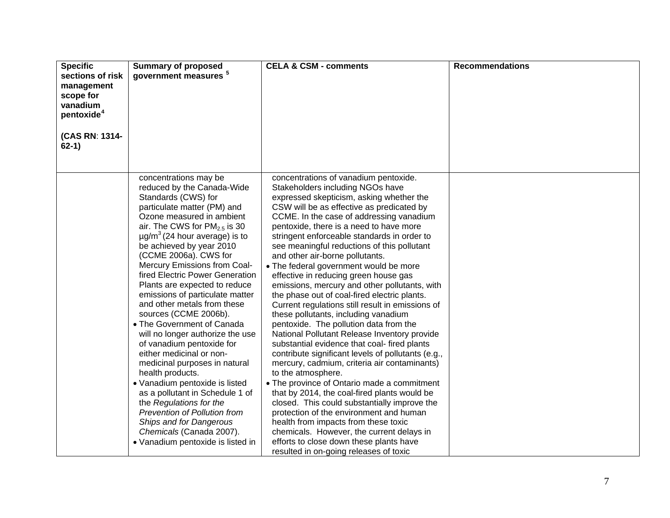| <b>Specific</b><br>sections of risk<br>management<br>scope for<br>vanadium<br>pentoxide <sup>4</sup><br>(CAS RN: 1314-<br>$62-1)$ | <b>Summary of proposed</b><br>government measures <sup>5</sup>                                                                                                                                                                                                                                                                                                                                                                                                                                                                                                                                                                                                                                                                                                                                                                                                                                       | <b>CELA &amp; CSM - comments</b>                                                                                                                                                                                                                                                                                                                                                                                                                                                                                                                                                                                                                                                                                                                                                                                                                                                                                                                                                                                                                                                                                                                                                                                                                                                                                     | <b>Recommendations</b> |
|-----------------------------------------------------------------------------------------------------------------------------------|------------------------------------------------------------------------------------------------------------------------------------------------------------------------------------------------------------------------------------------------------------------------------------------------------------------------------------------------------------------------------------------------------------------------------------------------------------------------------------------------------------------------------------------------------------------------------------------------------------------------------------------------------------------------------------------------------------------------------------------------------------------------------------------------------------------------------------------------------------------------------------------------------|----------------------------------------------------------------------------------------------------------------------------------------------------------------------------------------------------------------------------------------------------------------------------------------------------------------------------------------------------------------------------------------------------------------------------------------------------------------------------------------------------------------------------------------------------------------------------------------------------------------------------------------------------------------------------------------------------------------------------------------------------------------------------------------------------------------------------------------------------------------------------------------------------------------------------------------------------------------------------------------------------------------------------------------------------------------------------------------------------------------------------------------------------------------------------------------------------------------------------------------------------------------------------------------------------------------------|------------------------|
|                                                                                                                                   | concentrations may be<br>reduced by the Canada-Wide<br>Standards (CWS) for<br>particulate matter (PM) and<br>Ozone measured in ambient<br>air. The CWS for PM <sub>2.5</sub> is 30<br>$\mu$ g/m <sup>3</sup> (24 hour average) is to<br>be achieved by year 2010<br>(CCME 2006a). CWS for<br>Mercury Emissions from Coal-<br>fired Electric Power Generation<br>Plants are expected to reduce<br>emissions of particulate matter<br>and other metals from these<br>sources (CCME 2006b).<br>• The Government of Canada<br>will no longer authorize the use<br>of vanadium pentoxide for<br>either medicinal or non-<br>medicinal purposes in natural<br>health products.<br>• Vanadium pentoxide is listed<br>as a pollutant in Schedule 1 of<br>the Regulations for the<br>Prevention of Pollution from<br>Ships and for Dangerous<br>Chemicals (Canada 2007).<br>• Vanadium pentoxide is listed in | concentrations of vanadium pentoxide.<br>Stakeholders including NGOs have<br>expressed skepticism, asking whether the<br>CSW will be as effective as predicated by<br>CCME. In the case of addressing vanadium<br>pentoxide, there is a need to have more<br>stringent enforceable standards in order to<br>see meaningful reductions of this pollutant<br>and other air-borne pollutants.<br>• The federal government would be more<br>effective in reducing green house gas<br>emissions, mercury and other pollutants, with<br>the phase out of coal-fired electric plants.<br>Current regulations still result in emissions of<br>these pollutants, including vanadium<br>pentoxide. The pollution data from the<br>National Pollutant Release Inventory provide<br>substantial evidence that coal- fired plants<br>contribute significant levels of pollutants (e.g.,<br>mercury, cadmium, criteria air contaminants)<br>to the atmosphere.<br>• The province of Ontario made a commitment<br>that by 2014, the coal-fired plants would be<br>closed. This could substantially improve the<br>protection of the environment and human<br>health from impacts from these toxic<br>chemicals. However, the current delays in<br>efforts to close down these plants have<br>resulted in on-going releases of toxic |                        |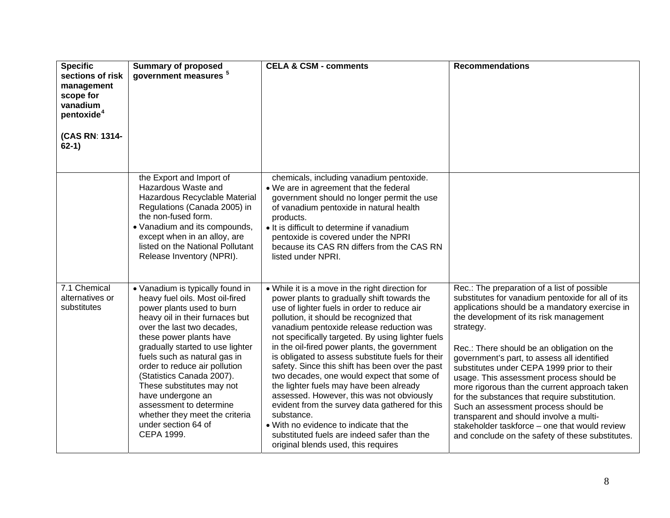| <b>Specific</b><br>sections of risk<br>management<br>scope for<br>vanadium<br>pentoxide <sup>4</sup> | <b>Summary of proposed</b><br>government measures <sup>5</sup>                                                                                                                                                                                                                                                                                                                                                                                                                     | <b>CELA &amp; CSM - comments</b>                                                                                                                                                                                                                                                                                                                                                                                                                                                                                                                                                                                                                                                                                                                                                          | <b>Recommendations</b>                                                                                                                                                                                                                                                                                                                                                                                                                                                                                                                                                                                                                                                                     |
|------------------------------------------------------------------------------------------------------|------------------------------------------------------------------------------------------------------------------------------------------------------------------------------------------------------------------------------------------------------------------------------------------------------------------------------------------------------------------------------------------------------------------------------------------------------------------------------------|-------------------------------------------------------------------------------------------------------------------------------------------------------------------------------------------------------------------------------------------------------------------------------------------------------------------------------------------------------------------------------------------------------------------------------------------------------------------------------------------------------------------------------------------------------------------------------------------------------------------------------------------------------------------------------------------------------------------------------------------------------------------------------------------|--------------------------------------------------------------------------------------------------------------------------------------------------------------------------------------------------------------------------------------------------------------------------------------------------------------------------------------------------------------------------------------------------------------------------------------------------------------------------------------------------------------------------------------------------------------------------------------------------------------------------------------------------------------------------------------------|
| (CAS RN: 1314-<br>$62-1)$                                                                            |                                                                                                                                                                                                                                                                                                                                                                                                                                                                                    |                                                                                                                                                                                                                                                                                                                                                                                                                                                                                                                                                                                                                                                                                                                                                                                           |                                                                                                                                                                                                                                                                                                                                                                                                                                                                                                                                                                                                                                                                                            |
|                                                                                                      | the Export and Import of<br>Hazardous Waste and<br>Hazardous Recyclable Material<br>Regulations (Canada 2005) in<br>the non-fused form.<br>• Vanadium and its compounds,<br>except when in an alloy, are<br>listed on the National Pollutant<br>Release Inventory (NPRI).                                                                                                                                                                                                          | chemicals, including vanadium pentoxide.<br>• We are in agreement that the federal<br>government should no longer permit the use<br>of vanadium pentoxide in natural health<br>products.<br>• It is difficult to determine if vanadium<br>pentoxide is covered under the NPRI<br>because its CAS RN differs from the CAS RN<br>listed under NPRI.                                                                                                                                                                                                                                                                                                                                                                                                                                         |                                                                                                                                                                                                                                                                                                                                                                                                                                                                                                                                                                                                                                                                                            |
| 7.1 Chemical<br>alternatives or<br>substitutes                                                       | • Vanadium is typically found in<br>heavy fuel oils. Most oil-fired<br>power plants used to burn<br>heavy oil in their furnaces but<br>over the last two decades,<br>these power plants have<br>gradually started to use lighter<br>fuels such as natural gas in<br>order to reduce air pollution<br>(Statistics Canada 2007).<br>These substitutes may not<br>have undergone an<br>assessment to determine<br>whether they meet the criteria<br>under section 64 of<br>CEPA 1999. | • While it is a move in the right direction for<br>power plants to gradually shift towards the<br>use of lighter fuels in order to reduce air<br>pollution, it should be recognized that<br>vanadium pentoxide release reduction was<br>not specifically targeted. By using lighter fuels<br>in the oil-fired power plants, the government<br>is obligated to assess substitute fuels for their<br>safety. Since this shift has been over the past<br>two decades, one would expect that some of<br>the lighter fuels may have been already<br>assessed. However, this was not obviously<br>evident from the survey data gathered for this<br>substance.<br>• With no evidence to indicate that the<br>substituted fuels are indeed safer than the<br>original blends used, this requires | Rec.: The preparation of a list of possible<br>substitutes for vanadium pentoxide for all of its<br>applications should be a mandatory exercise in<br>the development of its risk management<br>strategy.<br>Rec.: There should be an obligation on the<br>government's part, to assess all identified<br>substitutes under CEPA 1999 prior to their<br>usage. This assessment process should be<br>more rigorous than the current approach taken<br>for the substances that require substitution.<br>Such an assessment process should be<br>transparent and should involve a multi-<br>stakeholder taskforce - one that would review<br>and conclude on the safety of these substitutes. |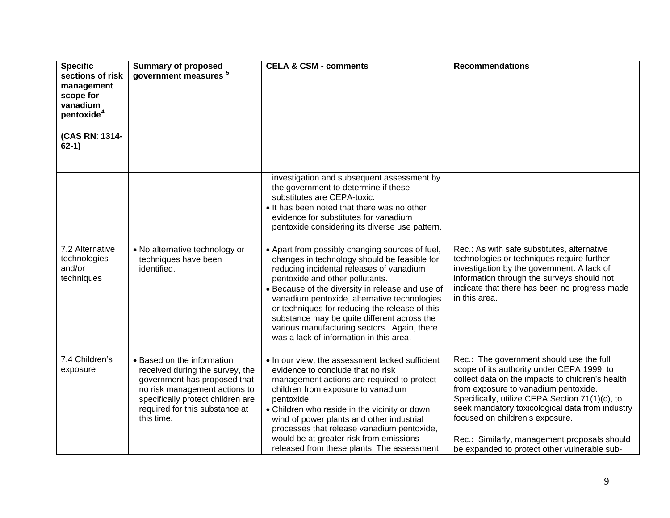| <b>Specific</b><br>sections of risk<br>management<br>scope for<br>vanadium<br>pentoxide <sup>4</sup><br>(CAS RN: 1314-<br>$62-1)$ | <b>Summary of proposed</b><br>government measures <sup>5</sup>                                                                                                                                                      | <b>CELA &amp; CSM - comments</b>                                                                                                                                                                                                                                                                                                                                                                                                                                              | <b>Recommendations</b>                                                                                                                                                                                                                                                                                                                                                                                                      |
|-----------------------------------------------------------------------------------------------------------------------------------|---------------------------------------------------------------------------------------------------------------------------------------------------------------------------------------------------------------------|-------------------------------------------------------------------------------------------------------------------------------------------------------------------------------------------------------------------------------------------------------------------------------------------------------------------------------------------------------------------------------------------------------------------------------------------------------------------------------|-----------------------------------------------------------------------------------------------------------------------------------------------------------------------------------------------------------------------------------------------------------------------------------------------------------------------------------------------------------------------------------------------------------------------------|
|                                                                                                                                   |                                                                                                                                                                                                                     | investigation and subsequent assessment by<br>the government to determine if these<br>substitutes are CEPA-toxic.<br>. It has been noted that there was no other<br>evidence for substitutes for vanadium<br>pentoxide considering its diverse use pattern.                                                                                                                                                                                                                   |                                                                                                                                                                                                                                                                                                                                                                                                                             |
| 7.2 Alternative<br>technologies<br>and/or<br>techniques                                                                           | • No alternative technology or<br>techniques have been<br>identified.                                                                                                                                               | • Apart from possibly changing sources of fuel,<br>changes in technology should be feasible for<br>reducing incidental releases of vanadium<br>pentoxide and other pollutants.<br>• Because of the diversity in release and use of<br>vanadium pentoxide, alternative technologies<br>or techniques for reducing the release of this<br>substance may be quite different across the<br>various manufacturing sectors. Again, there<br>was a lack of information in this area. | Rec.: As with safe substitutes, alternative<br>technologies or techniques require further<br>investigation by the government. A lack of<br>information through the surveys should not<br>indicate that there has been no progress made<br>in this area.                                                                                                                                                                     |
| 7.4 Children's<br>exposure                                                                                                        | • Based on the information<br>received during the survey, the<br>government has proposed that<br>no risk management actions to<br>specifically protect children are<br>required for this substance at<br>this time. | . In our view, the assessment lacked sufficient<br>evidence to conclude that no risk<br>management actions are required to protect<br>children from exposure to vanadium<br>pentoxide.<br>• Children who reside in the vicinity or down<br>wind of power plants and other industrial<br>processes that release vanadium pentoxide,<br>would be at greater risk from emissions<br>released from these plants. The assessment                                                   | Rec.: The government should use the full<br>scope of its authority under CEPA 1999, to<br>collect data on the impacts to children's health<br>from exposure to vanadium pentoxide.<br>Specifically, utilize CEPA Section 71(1)(c), to<br>seek mandatory toxicological data from industry<br>focused on children's exposure.<br>Rec.: Similarly, management proposals should<br>be expanded to protect other vulnerable sub- |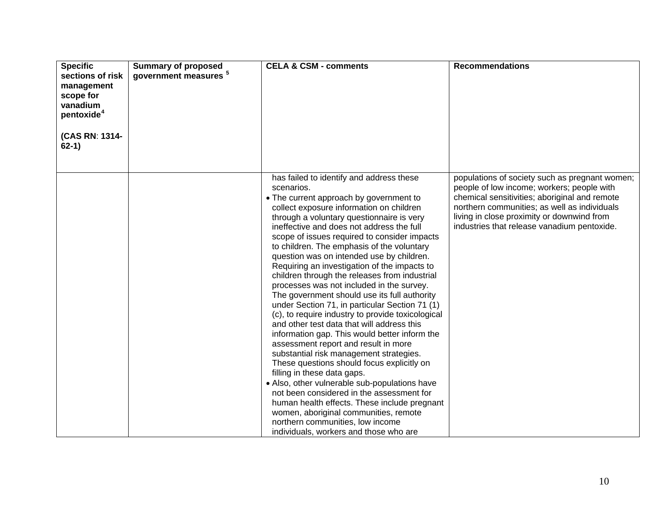| <b>Specific</b><br>sections of risk<br>management<br>scope for<br>vanadium<br>pentoxide <sup>4</sup><br>(CAS RN: 1314-<br>$62-1)$ | <b>Summary of proposed</b><br>government measures <sup>5</sup> | <b>CELA &amp; CSM - comments</b>                                                                                                                                                                                                                                                                                                                                                                                                                                                                                                                                                                                                                                                                                                                                                                                                                                                                                                                                                                                                                                                                                                                                                                                            | <b>Recommendations</b>                                                                                                                                                                                                                                                                     |
|-----------------------------------------------------------------------------------------------------------------------------------|----------------------------------------------------------------|-----------------------------------------------------------------------------------------------------------------------------------------------------------------------------------------------------------------------------------------------------------------------------------------------------------------------------------------------------------------------------------------------------------------------------------------------------------------------------------------------------------------------------------------------------------------------------------------------------------------------------------------------------------------------------------------------------------------------------------------------------------------------------------------------------------------------------------------------------------------------------------------------------------------------------------------------------------------------------------------------------------------------------------------------------------------------------------------------------------------------------------------------------------------------------------------------------------------------------|--------------------------------------------------------------------------------------------------------------------------------------------------------------------------------------------------------------------------------------------------------------------------------------------|
|                                                                                                                                   |                                                                | has failed to identify and address these<br>scenarios.<br>• The current approach by government to<br>collect exposure information on children<br>through a voluntary questionnaire is very<br>ineffective and does not address the full<br>scope of issues required to consider impacts<br>to children. The emphasis of the voluntary<br>question was on intended use by children.<br>Requiring an investigation of the impacts to<br>children through the releases from industrial<br>processes was not included in the survey.<br>The government should use its full authority<br>under Section 71, in particular Section 71 (1)<br>(c), to require industry to provide toxicological<br>and other test data that will address this<br>information gap. This would better inform the<br>assessment report and result in more<br>substantial risk management strategies.<br>These questions should focus explicitly on<br>filling in these data gaps.<br>• Also, other vulnerable sub-populations have<br>not been considered in the assessment for<br>human health effects. These include pregnant<br>women, aboriginal communities, remote<br>northern communities, low income<br>individuals, workers and those who are | populations of society such as pregnant women;<br>people of low income; workers; people with<br>chemical sensitivities; aboriginal and remote<br>northern communities; as well as individuals<br>living in close proximity or downwind from<br>industries that release vanadium pentoxide. |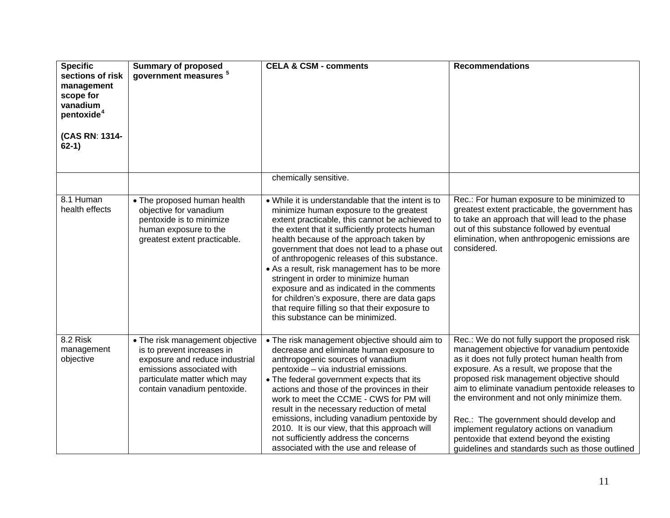| <b>Specific</b><br>sections of risk<br>management<br>scope for<br>vanadium<br>pentoxide <sup>4</sup><br>(CAS RN: 1314-<br>$62-1)$ | <b>Summary of proposed</b><br>government measures <sup>5</sup>                                                                                                                              | <b>CELA &amp; CSM - comments</b>                                                                                                                                                                                                                                                                                                                                                                                                                                                                                                                                                                                         | <b>Recommendations</b>                                                                                                                                                                                                                                                                                                                                                                                                                                                                                                               |
|-----------------------------------------------------------------------------------------------------------------------------------|---------------------------------------------------------------------------------------------------------------------------------------------------------------------------------------------|--------------------------------------------------------------------------------------------------------------------------------------------------------------------------------------------------------------------------------------------------------------------------------------------------------------------------------------------------------------------------------------------------------------------------------------------------------------------------------------------------------------------------------------------------------------------------------------------------------------------------|--------------------------------------------------------------------------------------------------------------------------------------------------------------------------------------------------------------------------------------------------------------------------------------------------------------------------------------------------------------------------------------------------------------------------------------------------------------------------------------------------------------------------------------|
|                                                                                                                                   |                                                                                                                                                                                             | chemically sensitive.                                                                                                                                                                                                                                                                                                                                                                                                                                                                                                                                                                                                    |                                                                                                                                                                                                                                                                                                                                                                                                                                                                                                                                      |
| 8.1 Human<br>health effects                                                                                                       | • The proposed human health<br>objective for vanadium<br>pentoxide is to minimize<br>human exposure to the<br>greatest extent practicable.                                                  | • While it is understandable that the intent is to<br>minimize human exposure to the greatest<br>extent practicable, this cannot be achieved to<br>the extent that it sufficiently protects human<br>health because of the approach taken by<br>government that does not lead to a phase out<br>of anthropogenic releases of this substance.<br>• As a result, risk management has to be more<br>stringent in order to minimize human<br>exposure and as indicated in the comments<br>for children's exposure, there are data gaps<br>that require filling so that their exposure to<br>this substance can be minimized. | Rec.: For human exposure to be minimized to<br>greatest extent practicable, the government has<br>to take an approach that will lead to the phase<br>out of this substance followed by eventual<br>elimination, when anthropogenic emissions are<br>considered.                                                                                                                                                                                                                                                                      |
| 8.2 Risk<br>management<br>objective                                                                                               | • The risk management objective<br>is to prevent increases in<br>exposure and reduce industrial<br>emissions associated with<br>particulate matter which may<br>contain vanadium pentoxide. | • The risk management objective should aim to<br>decrease and eliminate human exposure to<br>anthropogenic sources of vanadium<br>pentoxide - via industrial emissions.<br>• The federal government expects that its<br>actions and those of the provinces in their<br>work to meet the CCME - CWS for PM will<br>result in the necessary reduction of metal<br>emissions, including vanadium pentoxide by<br>2010. It is our view, that this approach will<br>not sufficiently address the concerns<br>associated with the use and release of                                                                           | Rec.: We do not fully support the proposed risk<br>management objective for vanadium pentoxide<br>as it does not fully protect human health from<br>exposure. As a result, we propose that the<br>proposed risk management objective should<br>aim to eliminate vanadium pentoxide releases to<br>the environment and not only minimize them.<br>Rec.: The government should develop and<br>implement regulatory actions on vanadium<br>pentoxide that extend beyond the existing<br>guidelines and standards such as those outlined |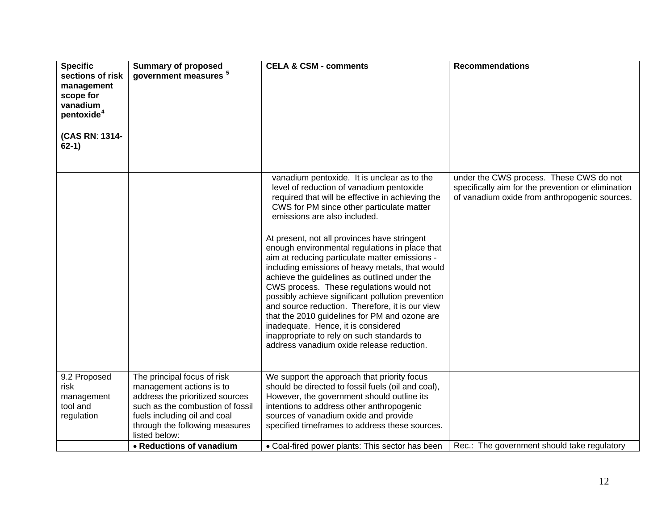| <b>Specific</b><br>sections of risk<br>management<br>scope for<br>vanadium<br>pentoxide <sup>4</sup><br>(CAS RN: 1314-<br>$62-1)$ | <b>Summary of proposed</b><br>government measures <sup>5</sup>                                                                                                                                                    | <b>CELA &amp; CSM - comments</b>                                                                                                                                                                                                                                                                                                                                                                                                                                                                                                                                                                                                                                                                                                                                                                                       | <b>Recommendations</b>                                                                                                                         |
|-----------------------------------------------------------------------------------------------------------------------------------|-------------------------------------------------------------------------------------------------------------------------------------------------------------------------------------------------------------------|------------------------------------------------------------------------------------------------------------------------------------------------------------------------------------------------------------------------------------------------------------------------------------------------------------------------------------------------------------------------------------------------------------------------------------------------------------------------------------------------------------------------------------------------------------------------------------------------------------------------------------------------------------------------------------------------------------------------------------------------------------------------------------------------------------------------|------------------------------------------------------------------------------------------------------------------------------------------------|
|                                                                                                                                   |                                                                                                                                                                                                                   | vanadium pentoxide. It is unclear as to the<br>level of reduction of vanadium pentoxide<br>required that will be effective in achieving the<br>CWS for PM since other particulate matter<br>emissions are also included.<br>At present, not all provinces have stringent<br>enough environmental regulations in place that<br>aim at reducing particulate matter emissions -<br>including emissions of heavy metals, that would<br>achieve the guidelines as outlined under the<br>CWS process. These regulations would not<br>possibly achieve significant pollution prevention<br>and source reduction. Therefore, it is our view<br>that the 2010 guidelines for PM and ozone are<br>inadequate. Hence, it is considered<br>inappropriate to rely on such standards to<br>address vanadium oxide release reduction. | under the CWS process. These CWS do not<br>specifically aim for the prevention or elimination<br>of vanadium oxide from anthropogenic sources. |
| 9.2 Proposed<br>risk<br>management<br>tool and<br>regulation                                                                      | The principal focus of risk<br>management actions is to<br>address the prioritized sources<br>such as the combustion of fossil<br>fuels including oil and coal<br>through the following measures<br>listed below: | We support the approach that priority focus<br>should be directed to fossil fuels (oil and coal),<br>However, the government should outline its<br>intentions to address other anthropogenic<br>sources of vanadium oxide and provide<br>specified timeframes to address these sources.                                                                                                                                                                                                                                                                                                                                                                                                                                                                                                                                |                                                                                                                                                |
|                                                                                                                                   | • Reductions of vanadium                                                                                                                                                                                          | • Coal-fired power plants: This sector has been                                                                                                                                                                                                                                                                                                                                                                                                                                                                                                                                                                                                                                                                                                                                                                        | Rec.: The government should take regulatory                                                                                                    |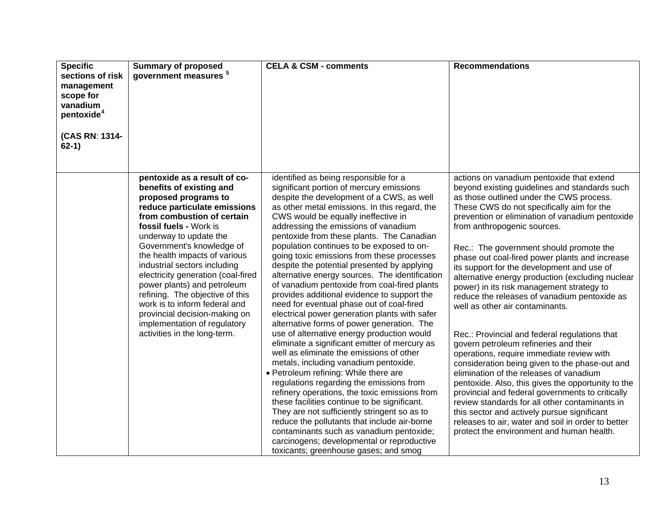| <b>Specific</b><br>sections of risk<br>management<br>scope for<br>vanadium<br>pentoxide <sup>4</sup> | <b>Summary of proposed</b><br>government measures <sup>5</sup>                                                                                                                                                                                                                                                                                                                                                                                                                                                                             | <b>CELA &amp; CSM - comments</b>                                                                                                                                                                                                                                                                                                                                                                                                                                                                                                                                                                                                                                                                                                                                                                                                                                                                                                                                                                                                                                                                                                                                                                                                                                                                                                                                | <b>Recommendations</b>                                                                                                                                                                                                                                                                                                                                                                                                                                                                                                                                                                                                                                                                                                                                                                                                                                                                                                                                                                                                                                                                                                                                 |
|------------------------------------------------------------------------------------------------------|--------------------------------------------------------------------------------------------------------------------------------------------------------------------------------------------------------------------------------------------------------------------------------------------------------------------------------------------------------------------------------------------------------------------------------------------------------------------------------------------------------------------------------------------|-----------------------------------------------------------------------------------------------------------------------------------------------------------------------------------------------------------------------------------------------------------------------------------------------------------------------------------------------------------------------------------------------------------------------------------------------------------------------------------------------------------------------------------------------------------------------------------------------------------------------------------------------------------------------------------------------------------------------------------------------------------------------------------------------------------------------------------------------------------------------------------------------------------------------------------------------------------------------------------------------------------------------------------------------------------------------------------------------------------------------------------------------------------------------------------------------------------------------------------------------------------------------------------------------------------------------------------------------------------------|--------------------------------------------------------------------------------------------------------------------------------------------------------------------------------------------------------------------------------------------------------------------------------------------------------------------------------------------------------------------------------------------------------------------------------------------------------------------------------------------------------------------------------------------------------------------------------------------------------------------------------------------------------------------------------------------------------------------------------------------------------------------------------------------------------------------------------------------------------------------------------------------------------------------------------------------------------------------------------------------------------------------------------------------------------------------------------------------------------------------------------------------------------|
| (CAS RN: 1314-<br>$62-1)$                                                                            |                                                                                                                                                                                                                                                                                                                                                                                                                                                                                                                                            |                                                                                                                                                                                                                                                                                                                                                                                                                                                                                                                                                                                                                                                                                                                                                                                                                                                                                                                                                                                                                                                                                                                                                                                                                                                                                                                                                                 |                                                                                                                                                                                                                                                                                                                                                                                                                                                                                                                                                                                                                                                                                                                                                                                                                                                                                                                                                                                                                                                                                                                                                        |
|                                                                                                      | pentoxide as a result of co-<br>benefits of existing and<br>proposed programs to<br>reduce particulate emissions<br>from combustion of certain<br>fossil fuels - Work is<br>underway to update the<br>Government's knowledge of<br>the health impacts of various<br>industrial sectors including<br>electricity generation (coal-fired<br>power plants) and petroleum<br>refining. The objective of this<br>work is to inform federal and<br>provincial decision-making on<br>implementation of regulatory<br>activities in the long-term. | identified as being responsible for a<br>significant portion of mercury emissions<br>despite the development of a CWS, as well<br>as other metal emissions. In this regard, the<br>CWS would be equally ineffective in<br>addressing the emissions of vanadium<br>pentoxide from these plants. The Canadian<br>population continues to be exposed to on-<br>going toxic emissions from these processes<br>despite the potential presented by applying<br>alternative energy sources. The identification<br>of vanadium pentoxide from coal-fired plants<br>provides additional evidence to support the<br>need for eventual phase out of coal-fired<br>electrical power generation plants with safer<br>alternative forms of power generation. The<br>use of alternative energy production would<br>eliminate a significant emitter of mercury as<br>well as eliminate the emissions of other<br>metals, including vanadium pentoxide.<br>• Petroleum refining: While there are<br>regulations regarding the emissions from<br>refinery operations, the toxic emissions from<br>these facilities continue to be significant.<br>They are not sufficiently stringent so as to<br>reduce the pollutants that include air-borne<br>contaminants such as vanadium pentoxide;<br>carcinogens; developmental or reproductive<br>toxicants; greenhouse gases; and smog | actions on vanadium pentoxide that extend<br>beyond existing guidelines and standards such<br>as those outlined under the CWS process.<br>These CWS do not specifically aim for the<br>prevention or elimination of vanadium pentoxide<br>from anthropogenic sources.<br>Rec.: The government should promote the<br>phase out coal-fired power plants and increase<br>its support for the development and use of<br>alternative energy production (excluding nuclear<br>power) in its risk management strategy to<br>reduce the releases of vanadium pentoxide as<br>well as other air contaminants.<br>Rec.: Provincial and federal regulations that<br>govern petroleum refineries and their<br>operations, require immediate review with<br>consideration being given to the phase-out and<br>elimination of the releases of vanadium<br>pentoxide. Also, this gives the opportunity to the<br>provincial and federal governments to critically<br>review standards for all other contaminants in<br>this sector and actively pursue significant<br>releases to air, water and soil in order to better<br>protect the environment and human health. |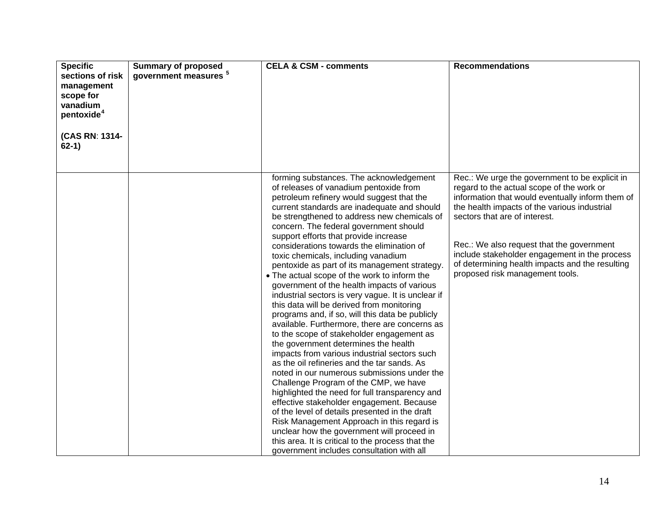| <b>Specific</b><br>sections of risk<br>management<br>scope for<br>vanadium<br>pentoxide <sup>4</sup><br>(CAS RN: 1314-<br>$62-1)$ | <b>Summary of proposed</b><br>government measures <sup>5</sup> | <b>CELA &amp; CSM - comments</b>                                                                                                                                                                                                                                                                                                                                                                                                                                                                                                                                                                                                                                                                                                                                                                                                                                                                                                                                                                                                                                                                                                                                                                                                                                                                                                                                                      | <b>Recommendations</b>                                                                                                                                                                                                                                                                                                                                                                                               |
|-----------------------------------------------------------------------------------------------------------------------------------|----------------------------------------------------------------|---------------------------------------------------------------------------------------------------------------------------------------------------------------------------------------------------------------------------------------------------------------------------------------------------------------------------------------------------------------------------------------------------------------------------------------------------------------------------------------------------------------------------------------------------------------------------------------------------------------------------------------------------------------------------------------------------------------------------------------------------------------------------------------------------------------------------------------------------------------------------------------------------------------------------------------------------------------------------------------------------------------------------------------------------------------------------------------------------------------------------------------------------------------------------------------------------------------------------------------------------------------------------------------------------------------------------------------------------------------------------------------|----------------------------------------------------------------------------------------------------------------------------------------------------------------------------------------------------------------------------------------------------------------------------------------------------------------------------------------------------------------------------------------------------------------------|
|                                                                                                                                   |                                                                | forming substances. The acknowledgement<br>of releases of vanadium pentoxide from<br>petroleum refinery would suggest that the<br>current standards are inadequate and should<br>be strengthened to address new chemicals of<br>concern. The federal government should<br>support efforts that provide increase<br>considerations towards the elimination of<br>toxic chemicals, including vanadium<br>pentoxide as part of its management strategy.<br>• The actual scope of the work to inform the<br>government of the health impacts of various<br>industrial sectors is very vague. It is unclear if<br>this data will be derived from monitoring<br>programs and, if so, will this data be publicly<br>available. Furthermore, there are concerns as<br>to the scope of stakeholder engagement as<br>the government determines the health<br>impacts from various industrial sectors such<br>as the oil refineries and the tar sands. As<br>noted in our numerous submissions under the<br>Challenge Program of the CMP, we have<br>highlighted the need for full transparency and<br>effective stakeholder engagement. Because<br>of the level of details presented in the draft<br>Risk Management Approach in this regard is<br>unclear how the government will proceed in<br>this area. It is critical to the process that the<br>government includes consultation with all | Rec.: We urge the government to be explicit in<br>regard to the actual scope of the work or<br>information that would eventually inform them of<br>the health impacts of the various industrial<br>sectors that are of interest.<br>Rec.: We also request that the government<br>include stakeholder engagement in the process<br>of determining health impacts and the resulting<br>proposed risk management tools. |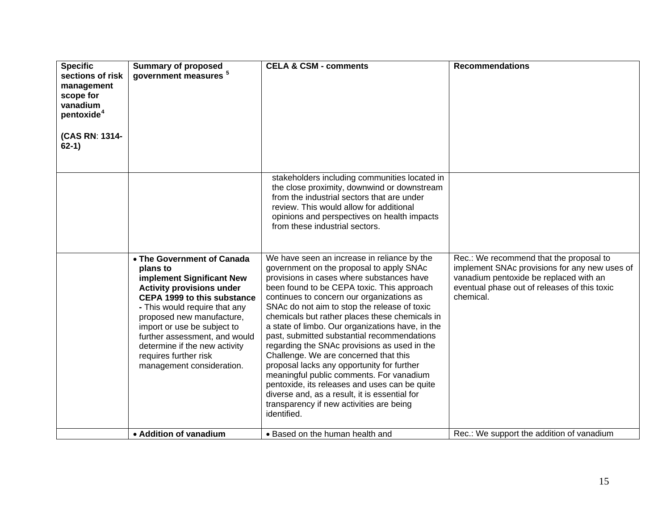| <b>Specific</b><br>sections of risk<br>management<br>scope for<br>vanadium<br>pentoxide <sup>4</sup><br>(CAS RN: 1314-<br>$62-1)$ | <b>Summary of proposed</b><br>government measures <sup>5</sup>                                                                                                                                                                                                                                                                                                     | <b>CELA &amp; CSM - comments</b>                                                                                                                                                                                                                                                                                                                                                                                                                                                                                                                                                                                                                                                                                                                                                     | <b>Recommendations</b>                                                                                                                                                                          |
|-----------------------------------------------------------------------------------------------------------------------------------|--------------------------------------------------------------------------------------------------------------------------------------------------------------------------------------------------------------------------------------------------------------------------------------------------------------------------------------------------------------------|--------------------------------------------------------------------------------------------------------------------------------------------------------------------------------------------------------------------------------------------------------------------------------------------------------------------------------------------------------------------------------------------------------------------------------------------------------------------------------------------------------------------------------------------------------------------------------------------------------------------------------------------------------------------------------------------------------------------------------------------------------------------------------------|-------------------------------------------------------------------------------------------------------------------------------------------------------------------------------------------------|
|                                                                                                                                   |                                                                                                                                                                                                                                                                                                                                                                    | stakeholders including communities located in<br>the close proximity, downwind or downstream<br>from the industrial sectors that are under<br>review. This would allow for additional<br>opinions and perspectives on health impacts<br>from these industrial sectors.                                                                                                                                                                                                                                                                                                                                                                                                                                                                                                               |                                                                                                                                                                                                 |
|                                                                                                                                   | • The Government of Canada<br>plans to<br>implement Significant New<br><b>Activity provisions under</b><br><b>CEPA 1999 to this substance</b><br>- This would require that any<br>proposed new manufacture,<br>import or use be subject to<br>further assessment, and would<br>determine if the new activity<br>requires further risk<br>management consideration. | We have seen an increase in reliance by the<br>government on the proposal to apply SNAc<br>provisions in cases where substances have<br>been found to be CEPA toxic. This approach<br>continues to concern our organizations as<br>SNAc do not aim to stop the release of toxic<br>chemicals but rather places these chemicals in<br>a state of limbo. Our organizations have, in the<br>past, submitted substantial recommendations<br>regarding the SNAc provisions as used in the<br>Challenge. We are concerned that this<br>proposal lacks any opportunity for further<br>meaningful public comments. For vanadium<br>pentoxide, its releases and uses can be quite<br>diverse and, as a result, it is essential for<br>transparency if new activities are being<br>identified. | Rec.: We recommend that the proposal to<br>implement SNAc provisions for any new uses of<br>vanadium pentoxide be replaced with an<br>eventual phase out of releases of this toxic<br>chemical. |
|                                                                                                                                   | • Addition of vanadium                                                                                                                                                                                                                                                                                                                                             | • Based on the human health and                                                                                                                                                                                                                                                                                                                                                                                                                                                                                                                                                                                                                                                                                                                                                      | Rec.: We support the addition of vanadium                                                                                                                                                       |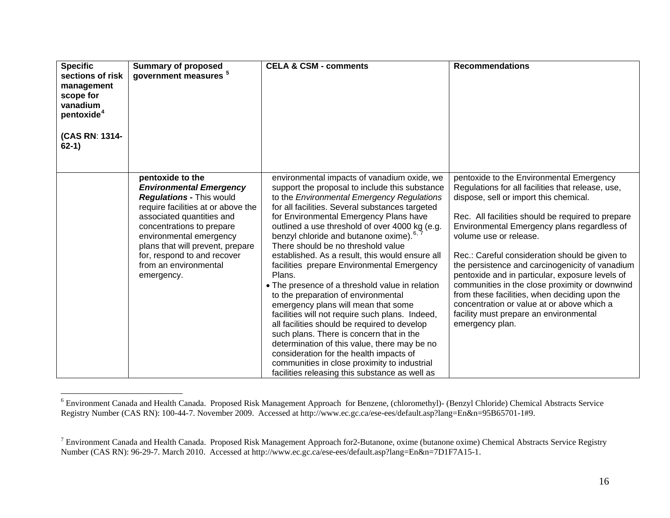| <b>Specific</b><br>sections of risk<br>management<br>scope for<br>vanadium<br>pentoxide <sup>4</sup><br>(CAS RN: 1314-<br>$62-1)$ | <b>Summary of proposed</b><br>government measures <sup>5</sup>                                                                                                                                                                                                                                                             | <b>CELA &amp; CSM - comments</b>                                                                                                                                                                                                                                                                                                                                                                                                                                                                                                                                                                                                                                                                                                                                                                                                                                                                                                                                                 | <b>Recommendations</b>                                                                                                                                                                                                                                                                                                                                                                                                                                                                                                                                                                                                                      |
|-----------------------------------------------------------------------------------------------------------------------------------|----------------------------------------------------------------------------------------------------------------------------------------------------------------------------------------------------------------------------------------------------------------------------------------------------------------------------|----------------------------------------------------------------------------------------------------------------------------------------------------------------------------------------------------------------------------------------------------------------------------------------------------------------------------------------------------------------------------------------------------------------------------------------------------------------------------------------------------------------------------------------------------------------------------------------------------------------------------------------------------------------------------------------------------------------------------------------------------------------------------------------------------------------------------------------------------------------------------------------------------------------------------------------------------------------------------------|---------------------------------------------------------------------------------------------------------------------------------------------------------------------------------------------------------------------------------------------------------------------------------------------------------------------------------------------------------------------------------------------------------------------------------------------------------------------------------------------------------------------------------------------------------------------------------------------------------------------------------------------|
|                                                                                                                                   | pentoxide to the<br><b>Environmental Emergency</b><br><b>Regulations - This would</b><br>require facilities at or above the<br>associated quantities and<br>concentrations to prepare<br>environmental emergency<br>plans that will prevent, prepare<br>for, respond to and recover<br>from an environmental<br>emergency. | environmental impacts of vanadium oxide, we<br>support the proposal to include this substance<br>to the Environmental Emergency Regulations<br>for all facilities. Several substances targeted<br>for Environmental Emergency Plans have<br>outlined a use threshold of over 4000 kg (e.g.<br>benzyl chloride and butanone oxime). <sup>6, 7</sup><br>There should be no threshold value<br>established. As a result, this would ensure all<br>facilities prepare Environmental Emergency<br>Plans.<br>• The presence of a threshold value in relation<br>to the preparation of environmental<br>emergency plans will mean that some<br>facilities will not require such plans. Indeed,<br>all facilities should be required to develop<br>such plans. There is concern that in the<br>determination of this value, there may be no<br>consideration for the health impacts of<br>communities in close proximity to industrial<br>facilities releasing this substance as well as | pentoxide to the Environmental Emergency<br>Regulations for all facilities that release, use,<br>dispose, sell or import this chemical.<br>Rec. All facilities should be required to prepare<br>Environmental Emergency plans regardless of<br>volume use or release.<br>Rec.: Careful consideration should be given to<br>the persistence and carcinogenicity of vanadium<br>pentoxide and in particular, exposure levels of<br>communities in the close proximity or downwind<br>from these facilities, when deciding upon the<br>concentration or value at or above which a<br>facility must prepare an environmental<br>emergency plan. |

<span id="page-16-0"></span><sup>6</sup> Environment Canada and Health Canada. Proposed Risk Management Approach for Benzene, (chloromethyl)- (Benzyl Chloride) Chemical Abstracts Service Registry Number (CAS RN): 100-44-7. November 2009. Accessed at<http://www.ec.gc.ca/ese-ees/default.asp?lang=En&n=95B65701-1#9>.

<span id="page-16-1"></span> $7$  Environment Canada and Health Canada. Proposed Risk Management Approach for 2-Butanone, oxime (butanone oxime) Chemical Abstracts Service Registry Number (CAS RN): 96-29-7. March 2010. Accessed at http://www.ec.gc.ca/ese-ees/default.asp?lang=En&n=7D1F7A15-1.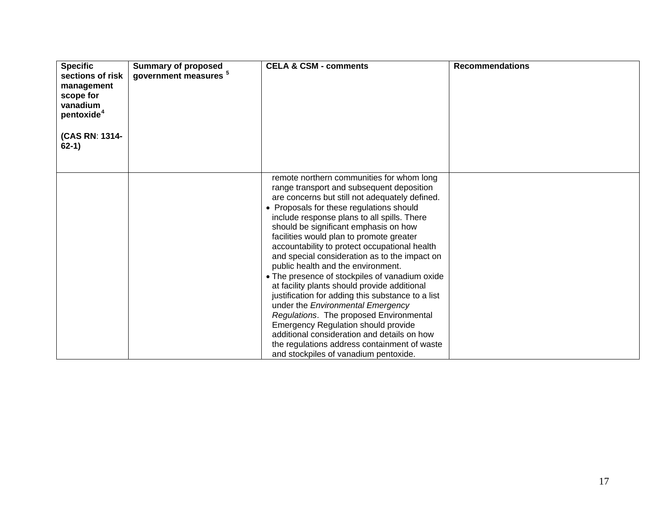| <b>Specific</b><br>sections of risk<br>management<br>scope for<br>vanadium<br>pentoxide <sup>4</sup><br>(CAS RN: 1314-<br>$62-1)$ | <b>Summary of proposed</b><br>government measures <sup>5</sup> | <b>CELA &amp; CSM - comments</b>                                                                                                                                                                                                                                                                                                                                                                                                                                                                                                                                                                                                                                                                                                                                                                                                                                                              | <b>Recommendations</b> |
|-----------------------------------------------------------------------------------------------------------------------------------|----------------------------------------------------------------|-----------------------------------------------------------------------------------------------------------------------------------------------------------------------------------------------------------------------------------------------------------------------------------------------------------------------------------------------------------------------------------------------------------------------------------------------------------------------------------------------------------------------------------------------------------------------------------------------------------------------------------------------------------------------------------------------------------------------------------------------------------------------------------------------------------------------------------------------------------------------------------------------|------------------------|
|                                                                                                                                   |                                                                | remote northern communities for whom long<br>range transport and subsequent deposition<br>are concerns but still not adequately defined.<br>• Proposals for these regulations should<br>include response plans to all spills. There<br>should be significant emphasis on how<br>facilities would plan to promote greater<br>accountability to protect occupational health<br>and special consideration as to the impact on<br>public health and the environment.<br>• The presence of stockpiles of vanadium oxide<br>at facility plants should provide additional<br>justification for adding this substance to a list<br>under the Environmental Emergency<br>Regulations. The proposed Environmental<br><b>Emergency Regulation should provide</b><br>additional consideration and details on how<br>the regulations address containment of waste<br>and stockpiles of vanadium pentoxide. |                        |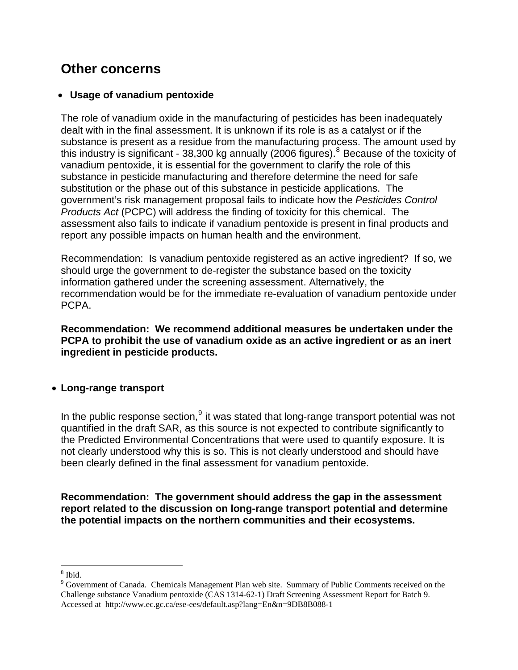## <span id="page-18-0"></span>**Other concerns**

### • **Usage of vanadium pentoxide**

The role of vanadium oxide in the manufacturing of pesticides has been inadequately dealt with in the final assessment. It is unknown if its role is as a catalyst or if the substance is present as a residue from the manufacturing process. The amount used by this industry is significant - 3[8](#page-18-0),300 kg annually (2006 figures).<sup>8</sup> Because of the toxicity of vanadium pentoxide, it is essential for the government to clarify the role of this substance in pesticide manufacturing and therefore determine the need for safe substitution or the phase out of this substance in pesticide applications. The government's risk management proposal fails to indicate how the *Pesticides Control Products Act* (PCPC) will address the finding of toxicity for this chemical. The assessment also fails to indicate if vanadium pentoxide is present in final products and report any possible impacts on human health and the environment.

Recommendation: Is vanadium pentoxide registered as an active ingredient? If so, we should urge the government to de-register the substance based on the toxicity information gathered under the screening assessment. Alternatively, the recommendation would be for the immediate re-evaluation of vanadium pentoxide under PCPA.

**Recommendation: We recommend additional measures be undertaken under the PCPA to prohibit the use of vanadium oxide as an active ingredient or as an inert ingredient in pesticide products.** 

### • **Long-range transport**

In the public response section,  $9$  it was stated that long-range transport potential was not quantified in the draft SAR, as this source is not expected to contribute significantly to the Predicted Environmental Concentrations that were used to quantify exposure. It is not clearly understood why this is so. This is not clearly understood and should have been clearly defined in the final assessment for vanadium pentoxide.

**Recommendation: The government should address the gap in the assessment report related to the discussion on long-range transport potential and determine the potential impacts on the northern communities and their ecosystems.** 

 $\overline{a}$ 8 Ibid.

<sup>&</sup>lt;sup>9</sup> Government of Canada. Chemicals Management Plan web site. Summary of Public Comments received on the Challenge substance Vanadium pentoxide (CAS 1314-62-1) Draft Screening Assessment Report for Batch 9. Accessed at http://www.ec.gc.ca/ese-ees/default.asp?lang=En&n=9DB8B088-1